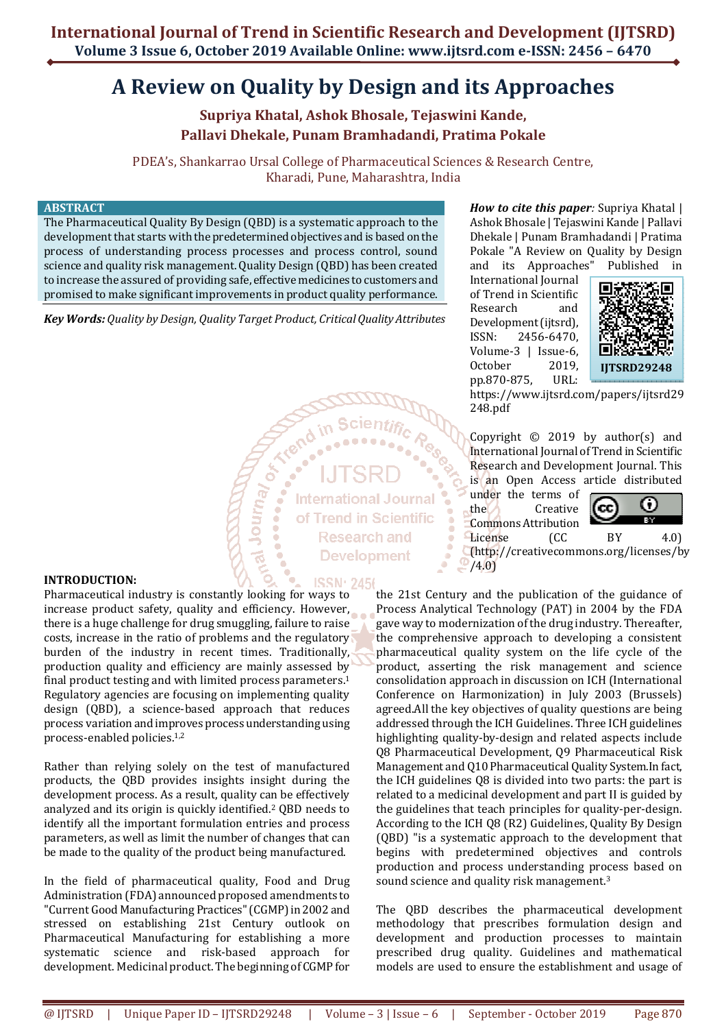# **A Review on Quality by Design and its Approaches**

**Supriya Khatal, Ashok Bhosale, Tejaswini Kande, Pallavi Dhekale, Punam Bramhadandi, Pratima Pokale**

PDEA's, Shankarrao Ursal College of Pharmaceutical Sciences & Research Centre, Kharadi, Pune, Maharashtra, India

#### **ABSTRACT**

The Pharmaceutical Quality By Design (QBD) is a systematic approach to the development that starts with the predetermined objectives and is based on the process of understanding process processes and process control, sound science and quality risk management. Quality Design (QBD) has been created to increase the assured of providing safe, effective medicines to customers and promised to make significant improvements in product quality performance.

*Key Words: Quality by Design, Quality Target Product, Critical Quality Attributes* 

**Munal** 

**International Journal** of Trend in Scientific **Research and Development** 

**ISSN-245** 

*How to cite this paper:* Supriya Khatal | Ashok Bhosale | Tejaswini Kande | Pallavi Dhekale | Punam Bramhadandi | Pratima Pokale "A Review on Quality by Design and its Approaches" Published in

International Journal of Trend in Scientific Research and Development (ijtsrd), ISSN: 2456-6470, Volume-3 | Issue-6, October 2019, pp.870-875, URL:



https://www.ijtsrd.com/papers/ijtsrd29 248.pdf

Copyright © 2019 by author(s) and International Journal of Trend in Scientific Research and Development Journal. This is an Open Access article distributed

under the terms of the Creative Commons Attribution



License (CC BY 4.0) (http://creativecommons.org/licenses/by /4.0)

the 21st Century and the publication of the guidance of Process Analytical Technology (PAT) in 2004 by the FDA gave way to modernization of the drug industry. Thereafter, the comprehensive approach to developing a consistent pharmaceutical quality system on the life cycle of the product, asserting the risk management and science consolidation approach in discussion on ICH (International Conference on Harmonization) in July 2003 (Brussels) agreed.All the key objectives of quality questions are being addressed through the ICH Guidelines. Three ICH guidelines highlighting quality-by-design and related aspects include Q8 Pharmaceutical Development, Q9 Pharmaceutical Risk Management and Q10 Pharmaceutical Quality System.In fact, the ICH guidelines Q8 is divided into two parts: the part is related to a medicinal development and part II is guided by the guidelines that teach principles for quality-per-design. According to the ICH Q8 (R2) Guidelines, Quality By Design (QBD) "is a systematic approach to the development that begins with predetermined objectives and controls production and process understanding process based on sound science and quality risk management.<sup>3</sup>

The QBD describes the pharmaceutical development methodology that prescribes formulation design and development and production processes to maintain prescribed drug quality. Guidelines and mathematical models are used to ensure the establishment and usage of

#### **INTRODUCTION:**

Pharmaceutical industry is constantly looking for ways to increase product safety, quality and efficiency. However, there is a huge challenge for drug smuggling, failure to raise costs, increase in the ratio of problems and the regulatory burden of the industry in recent times. Traditionally, production quality and efficiency are mainly assessed by final product testing and with limited process parameters.<sup>1</sup> Regulatory agencies are focusing on implementing quality design (QBD), a science-based approach that reduces process variation and improves process understanding using process-enabled policies.1,2

Rather than relying solely on the test of manufactured products, the QBD provides insights insight during the development process. As a result, quality can be effectively analyzed and its origin is quickly identified.2 QBD needs to identify all the important formulation entries and process parameters, as well as limit the number of changes that can be made to the quality of the product being manufactured.

In the field of pharmaceutical quality, Food and Drug Administration (FDA) announced proposed amendments to "Current Good Manufacturing Practices" (CGMP) in 2002 and stressed on establishing 21st Century outlook on Pharmaceutical Manufacturing for establishing a more systematic science and risk-based approach for development. Medicinal product. The beginning of CGMP for

@ IJTSRD | Unique Paper ID – IJTSRD29248 | Volume – 3 | Issue – 6 | September - October 2019 Page 870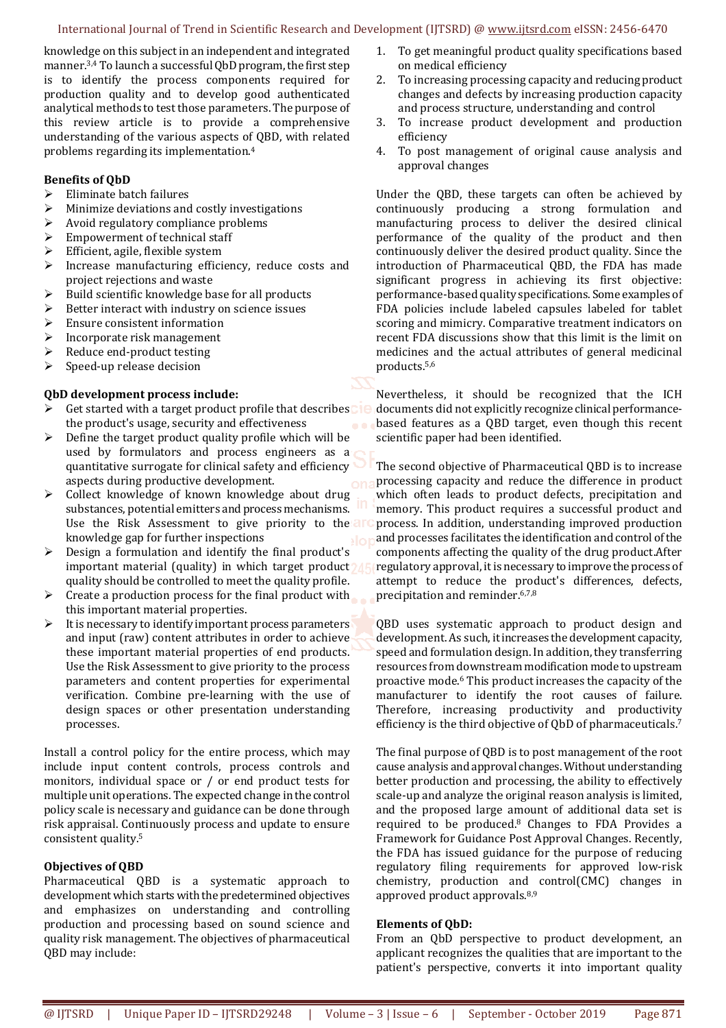knowledge on this subject in an independent and integrated manner.3,4 To launch a successful QbD program, the first step is to identify the process components required for production quality and to develop good authenticated analytical methods to test those parameters. The purpose of this review article is to provide a comprehensive understanding of the various aspects of QBD, with related problems regarding its implementation.<sup>4</sup>

# **Benefits of QbD**

- $\triangleright$  Eliminate batch failures
- $\triangleright$  Minimize deviations and costly investigations
- $\triangleright$  Avoid regulatory compliance problems
- $\triangleright$  Empowerment of technical staff
- $\triangleright$  Efficient, agile, flexible system
- $\triangleright$  Increase manufacturing efficiency, reduce costs and project rejections and waste
- Build scientific knowledge base for all products
- Better interact with industry on science issues
- Ensure consistent information
- $\triangleright$  Incorporate risk management
- $\triangleright$  Reduce end-product testing
- $\triangleright$  Speed-up release decision

# **QbD development process include:**

- Get started with a target product profile that describes the product's usage, security and effectiveness
- Define the target product quality profile which will be used by formulators and process engineers as a quantitative surrogate for clinical safety and efficiency aspects during productive development.
- $\triangleright$  Collect knowledge of known knowledge about drug substances, potential emitters and process mechanisms. Use the Risk Assessment to give priority to the and knowledge gap for further inspections
- Design a formulation and identify the final product's important material (quality) in which target product / quality should be controlled to meet the quality profile.
- Create a production process for the final product with this important material properties.
- It is necessary to identify important process parameters and input (raw) content attributes in order to achieve these important material properties of end products. Use the Risk Assessment to give priority to the process parameters and content properties for experimental verification. Combine pre-learning with the use of design spaces or other presentation understanding processes.

Install a control policy for the entire process, which may include input content controls, process controls and monitors, individual space or / or end product tests for multiple unit operations. The expected change in the control policy scale is necessary and guidance can be done through risk appraisal. Continuously process and update to ensure consistent quality.<sup>5</sup>

# **Objectives of QBD**

Pharmaceutical QBD is a systematic approach to development which starts with the predetermined objectives and emphasizes on understanding and controlling production and processing based on sound science and quality risk management. The objectives of pharmaceutical QBD may include:

- 1. To get meaningful product quality specifications based on medical efficiency
- 2. To increasing processing capacity and reducing product changes and defects by increasing production capacity and process structure, understanding and control
- 3. To increase product development and production efficiency
- 4. To post management of original cause analysis and approval changes

Under the QBD, these targets can often be achieved by continuously producing a strong formulation and manufacturing process to deliver the desired clinical performance of the quality of the product and then continuously deliver the desired product quality. Since the introduction of Pharmaceutical QBD, the FDA has made significant progress in achieving its first objective: performance-based quality specifications. Some examples of FDA policies include labeled capsules labeled for tablet scoring and mimicry. Comparative treatment indicators on recent FDA discussions show that this limit is the limit on medicines and the actual attributes of general medicinal products.5,6

Nevertheless, it should be recognized that the ICH documents did not explicitly recognize clinical performancebased features as a QBD target, even though this recent scientific paper had been identified.

The second objective of Pharmaceutical QBD is to increase processing capacity and reduce the difference in product which often leads to product defects, precipitation and memory. This product requires a successful product and process. In addition, understanding improved production and processes facilitates the identification and control of the components affecting the quality of the drug product.After regulatory approval, it is necessary to improve the process of attempt to reduce the product's differences, defects, precipitation and reminder.6,7,8

QBD uses systematic approach to product design and development. As such, it increases the development capacity, speed and formulation design. In addition, they transferring resources from downstream modification mode to upstream proactive mode.6 This product increases the capacity of the manufacturer to identify the root causes of failure. Therefore, increasing productivity and productivity efficiency is the third objective of QbD of pharmaceuticals.<sup>7</sup>

The final purpose of QBD is to post management of the root cause analysis and approval changes. Without understanding better production and processing, the ability to effectively scale-up and analyze the original reason analysis is limited, and the proposed large amount of additional data set is required to be produced.8 Changes to FDA Provides a Framework for Guidance Post Approval Changes. Recently, the FDA has issued guidance for the purpose of reducing regulatory filing requirements for approved low-risk chemistry, production and control(CMC) changes in approved product approvals.8,9

# **Elements of QbD:**

From an QbD perspective to product development, an applicant recognizes the qualities that are important to the patient's perspective, converts it into important quality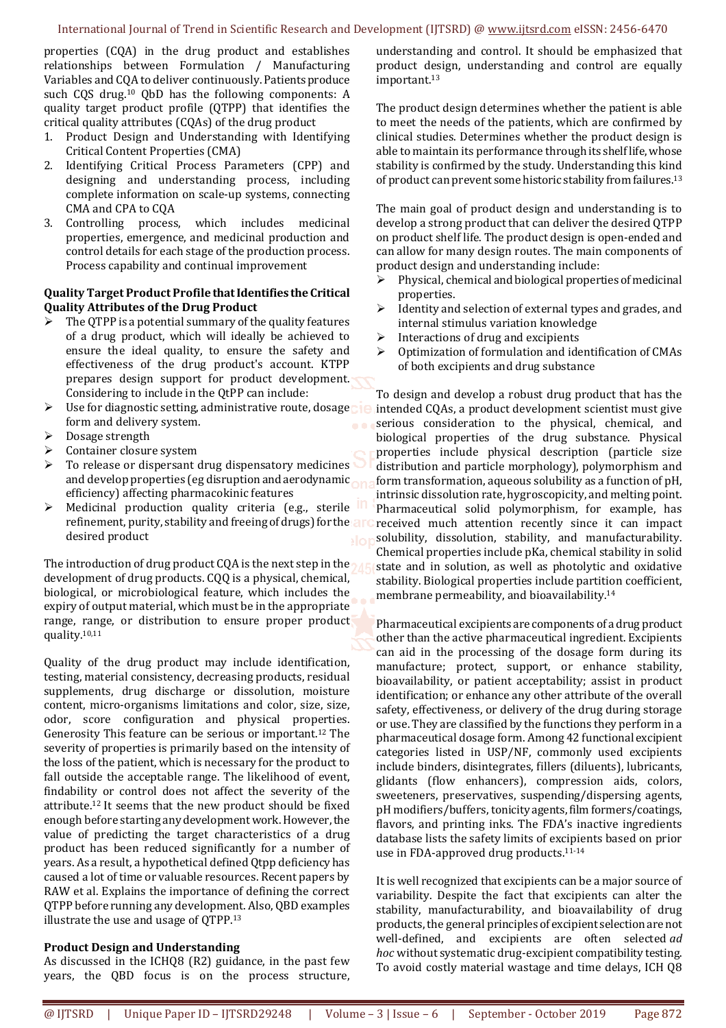properties (CQA) in the drug product and establishes relationships between Formulation / Manufacturing Variables and CQA to deliver continuously. Patients produce such CQS drug.10 QbD has the following components: A quality target product profile (QTPP) that identifies the critical quality attributes (CQAs) of the drug product

- 1. Product Design and Understanding with Identifying Critical Content Properties (CMA)
- 2. Identifying Critical Process Parameters (CPP) and designing and understanding process, including complete information on scale-up systems, connecting CMA and CPA to CQA
- 3. Controlling process, which includes medicinal properties, emergence, and medicinal production and control details for each stage of the production process. Process capability and continual improvement

# **Quality Target Product Profile that Identifies the Critical Quality Attributes of the Drug Product**

- The QTPP is a potential summary of the quality features of a drug product, which will ideally be achieved to ensure the ideal quality, to ensure the safety and effectiveness of the drug product's account. KTPP prepares design support for product development. Considering to include in the QtPP can include:
- Use for diagnostic setting, administrative route, dosage form and delivery system.
- Dosage strength
- Container closure system
- $\triangleright$  To release or dispersant drug dispensatory medicines and develop properties (eg disruption and aerodynamic efficiency) affecting pharmacokinic features
- > Medicinal production quality criteria (e.g., sterile III refinement, purity, stability and freeing of drugs) for the  $a\mathbf{r}$ desired product

The introduction of drug product CQA is the next step in the development of drug products. CQQ is a physical, chemical, biological, or microbiological feature, which includes the expiry of output material, which must be in the appropriate range, range, or distribution to ensure proper product quality.10,11

Quality of the drug product may include identification, testing, material consistency, decreasing products, residual supplements, drug discharge or dissolution, moisture content, micro-organisms limitations and color, size, size, odor, score configuration and physical properties. Generosity This feature can be serious or important. <sup>12</sup> The severity of properties is primarily based on the intensity of the loss of the patient, which is necessary for the product to fall outside the acceptable range. The likelihood of event, findability or control does not affect the severity of the attribute.12 It seems that the new product should be fixed enough before starting any development work. However, the value of predicting the target characteristics of a drug product has been reduced significantly for a number of years. As a result, a hypothetical defined Qtpp deficiency has caused a lot of time or valuable resources. Recent papers by RAW et al. Explains the importance of defining the correct QTPP before running any development. Also, QBD examples illustrate the use and usage of QTPP.<sup>13</sup>

# **Product Design and Understanding**

As discussed in the ICHQ8 (R2) guidance, in the past few years, the QBD focus is on the process structure, understanding and control. It should be emphasized that product design, understanding and control are equally important.<sup>13</sup>

The product design determines whether the patient is able to meet the needs of the patients, which are confirmed by clinical studies. Determines whether the product design is able to maintain its performance through its shelf life, whose stability is confirmed by the study. Understanding this kind of product can prevent some historic stability from failures.<sup>13</sup>

The main goal of product design and understanding is to develop a strong product that can deliver the desired QTPP on product shelf life. The product design is open-ended and can allow for many design routes. The main components of product design and understanding include:

- Physical, chemical and biological properties of medicinal properties.
- Identity and selection of external types and grades, and internal stimulus variation knowledge
- $\triangleright$  Interactions of drug and excipients
- Optimization of formulation and identification of CMAs of both excipients and drug substance

To design and develop a robust drug product that has the intended CQAs, a product development scientist must give serious consideration to the physical, chemical, and biological properties of the drug substance. Physical properties include physical description (particle size distribution and particle morphology), polymorphism and form transformation, aqueous solubility as a function of pH, intrinsic dissolution rate, hygroscopicity, and melting point. Pharmaceutical solid polymorphism, for example, has received much attention recently since it can impact solubility, dissolution, stability, and manufacturability. Chemical properties include pKa, chemical stability in solid state and in solution, as well as photolytic and oxidative stability. Biological properties include partition coefficient, membrane permeability, and bioavailability.<sup>14</sup>

Pharmaceutical excipients are components of a drug product other than the active pharmaceutical ingredient. Excipients can aid in the processing of the dosage form during its manufacture; protect, support, or enhance stability, bioavailability, or patient acceptability; assist in product identification; or enhance any other attribute of the overall safety, effectiveness, or delivery of the drug during storage or use. They are classified by the functions they perform in a pharmaceutical dosage form. Among 42 functional excipient categories listed in USP/NF, commonly used excipients include binders, disintegrates, fillers (diluents), lubricants, glidants (flow enhancers), compression aids, colors, sweeteners, preservatives, suspending/dispersing agents, pH modifiers/buffers, tonicity agents, film formers/coatings, flavors, and printing inks. The FDA's inactive ingredients database lists the safety limits of excipients based on prior use in FDA-approved drug products.11-14

It is well recognized that excipients can be a major source of variability. Despite the fact that excipients can alter the stability, manufacturability, and bioavailability of drug products, the general principles of excipient selection are not well-defined, and excipients are often selected *ad hoc* without systematic drug-excipient compatibility testing. To avoid costly material wastage and time delays, ICH Q8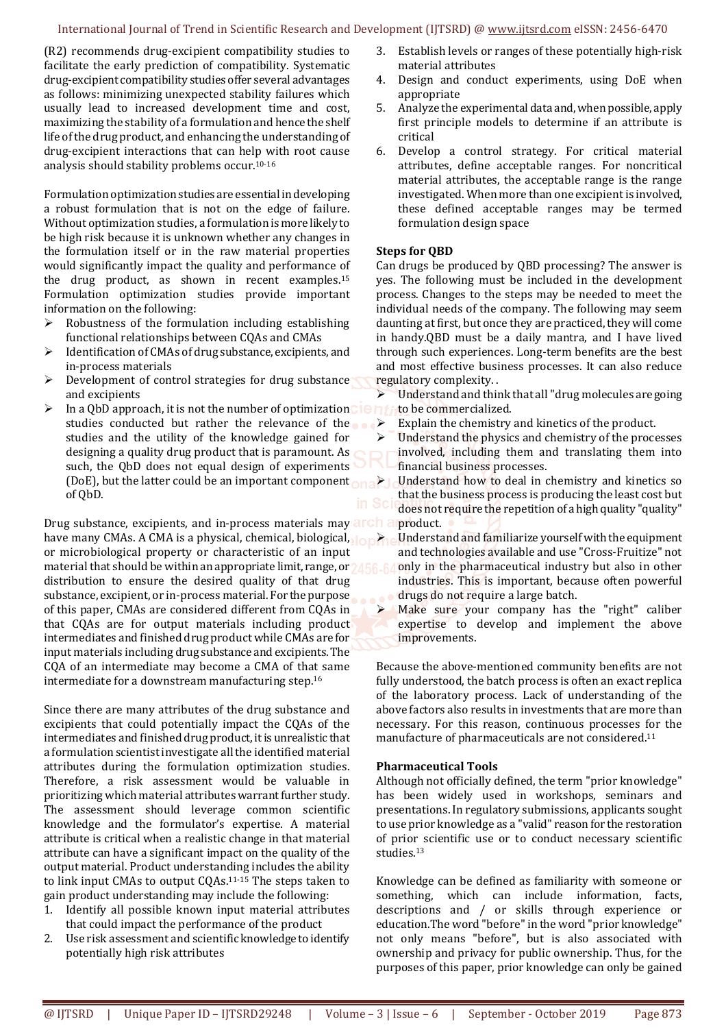(R2) recommends drug-excipient compatibility studies to facilitate the early prediction of compatibility. Systematic drug-excipient compatibility studies offer several advantages as follows: minimizing unexpected stability failures which usually lead to increased development time and cost, maximizing the stability of a formulation and hence the shelf life of the drug product, and enhancing the understanding of drug-excipient interactions that can help with root cause analysis should stability problems occur.10-16

Formulation optimization studies are essential in developing a robust formulation that is not on the edge of failure. Without optimization studies, a formulation is more likely to be high risk because it is unknown whether any changes in the formulation itself or in the raw material properties would significantly impact the quality and performance of the drug product, as shown in recent examples.<sup>15</sup> Formulation optimization studies provide important information on the following:

- $\triangleright$  Robustness of the formulation including establishing functional relationships between CQAs and CMAs
- Identification of CMAs of drug substance, excipients, and in-process materials
- Development of control strategies for drug substance and excipients
- $\triangleright$  In a QbD approach, it is not the number of optimization  $\cdot$  ie metally studies conducted but rather the relevance of the studies and the utility of the knowledge gained for designing a quality drug product that is paramount. As such, the QbD does not equal design of experiments (DoE), but the latter could be an important component of QbD.

Drug substance, excipients, and in-process materials may **arch** a have many CMAs. A CMA is a physical, chemical, biological, long or microbiological property or characteristic of an input material that should be within an appropriate limit, range, or 2456-6. distribution to ensure the desired quality of that drug substance, excipient, or in-process material. For the purpose of this paper, CMAs are considered different from CQAs in that CQAs are for output materials including product intermediates and finished drug product while CMAs are for input materials including drug substance and excipients. The CQA of an intermediate may become a CMA of that same intermediate for a downstream manufacturing step.<sup>16</sup>

Since there are many attributes of the drug substance and excipients that could potentially impact the CQAs of the intermediates and finished drug product, it is unrealistic that a formulation scientist investigate all the identified material attributes during the formulation optimization studies. Therefore, a risk assessment would be valuable in prioritizing which material attributes warrant further study. The assessment should leverage common scientific knowledge and the formulator's expertise. A material attribute is critical when a realistic change in that material attribute can have a significant impact on the quality of the output material. Product understanding includes the ability to link input CMAs to output CQAs.11-15 The steps taken to gain product understanding may include the following:

- 1. Identify all possible known input material attributes that could impact the performance of the product
- 2. Use risk assessment and scientific knowledge to identify potentially high risk attributes
- 3. Establish levels or ranges of these potentially high-risk material attributes
- 4. Design and conduct experiments, using DoE when appropriate
- 5. Analyze the experimental data and, when possible, apply first principle models to determine if an attribute is critical
- 6. Develop a control strategy. For critical material attributes, define acceptable ranges. For noncritical material attributes, the acceptable range is the range investigated. When more than one excipient is involved, these defined acceptable ranges may be termed formulation design space

## **Steps for QBD**

Can drugs be produced by QBD processing? The answer is yes. The following must be included in the development process. Changes to the steps may be needed to meet the individual needs of the company. The following may seem daunting at first, but once they are practiced, they will come in handy.QBD must be a daily mantra, and I have lived through such experiences. Long-term benefits are the best and most effective business processes. It can also reduce regulatory complexity. .

- $\triangleright$  Understand and think that all "drug molecules are going to be commercialized.
- Explain the chemistry and kinetics of the product.
- Understand the physics and chemistry of the processes involved, including them and translating them into financial business processes.
- Understand how to deal in chemistry and kinetics so that the business process is producing the least cost but does not require the repetition of a high quality "quality" product.
- Understand and familiarize yourself with the equipment and technologies available and use "Cross-Fruitize" not only in the pharmaceutical industry but also in other industries. This is important, because often powerful drugs do not require a large batch.
- Make sure your company has the "right" caliber expertise to develop and implement the above improvements.

Because the above-mentioned community benefits are not fully understood, the batch process is often an exact replica of the laboratory process. Lack of understanding of the above factors also results in investments that are more than necessary. For this reason, continuous processes for the manufacture of pharmaceuticals are not considered.<sup>11</sup>

#### **Pharmaceutical Tools**

Although not officially defined, the term "prior knowledge" has been widely used in workshops, seminars and presentations. In regulatory submissions, applicants sought to use prior knowledge as a "valid" reason for the restoration of prior scientific use or to conduct necessary scientific studies.<sup>13</sup>

Knowledge can be defined as familiarity with someone or something, which can include information, facts, descriptions and / or skills through experience or education.The word "before" in the word "prior knowledge" not only means "before", but is also associated with ownership and privacy for public ownership. Thus, for the purposes of this paper, prior knowledge can only be gained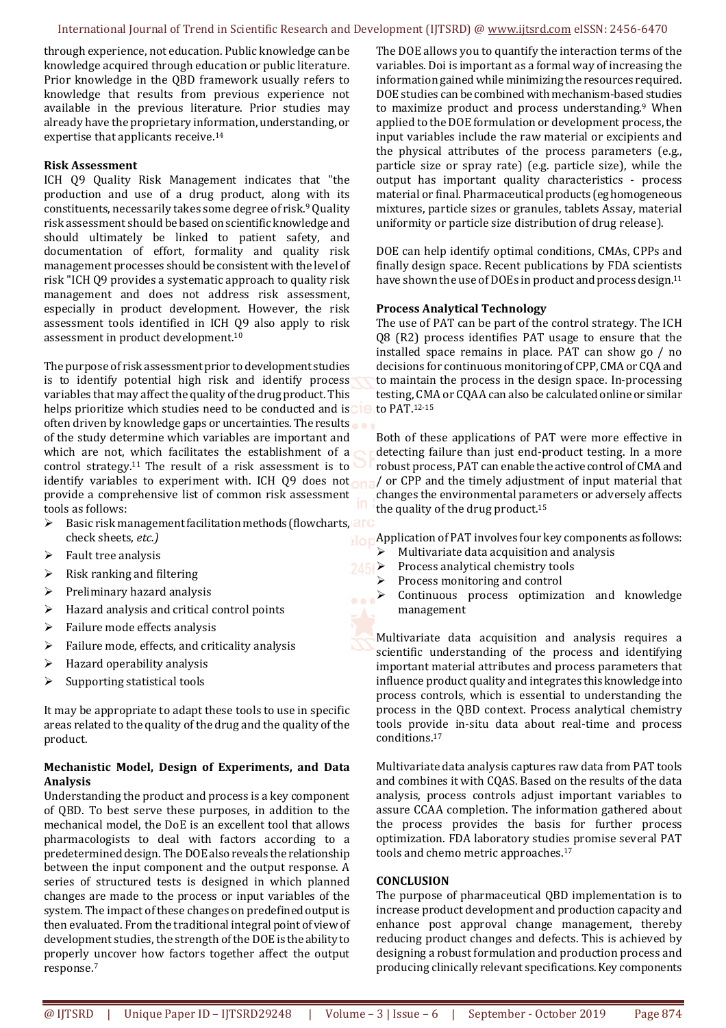through experience, not education. Public knowledge can be knowledge acquired through education or public literature. Prior knowledge in the QBD framework usually refers to knowledge that results from previous experience not available in the previous literature. Prior studies may already have the proprietary information, understanding, or expertise that applicants receive.<sup>14</sup>

#### **Risk Assessment**

ICH Q9 Quality Risk Management indicates that "the production and use of a drug product, along with its constituents, necessarily takes some degree of risk. <sup>9</sup> Quality risk assessment should be based on scientific knowledge and should ultimately be linked to patient safety, and documentation of effort, formality and quality risk management processes should be consistent with the level of risk "ICH Q9 provides a systematic approach to quality risk management and does not address risk assessment, especially in product development. However, the risk assessment tools identified in ICH Q9 also apply to risk assessment in product development.<sup>10</sup>

The purpose of risk assessment prior to development studies is to identify potential high risk and identify process variables that may affect the quality of the drug product. This helps prioritize which studies need to be conducted and is  $\Box$ often driven by knowledge gaps or uncertainties. The results of the study determine which variables are important and which are not, which facilitates the establishment of a control strategy.11 The result of a risk assessment is to identify variables to experiment with. ICH Q9 does not provide a comprehensive list of common risk assessment tools as follows:

- $\triangleright$  Basic risk management facilitation methods (flowcharts, and check sheets, *etc.)* lor
- $\triangleright$  Fault tree analysis
- $\triangleright$  Risk ranking and filtering
- $\triangleright$  Preliminary hazard analysis
- $\triangleright$  Hazard analysis and critical control points
- $\triangleright$  Failure mode effects analysis
- $\triangleright$  Failure mode, effects, and criticality analysis
- $\triangleright$  Hazard operability analysis
- $\triangleright$  Supporting statistical tools

It may be appropriate to adapt these tools to use in specific areas related to the quality of the drug and the quality of the product.

# **Mechanistic Model, Design of Experiments, and Data Analysis**

Understanding the product and process is a key component of QBD. To best serve these purposes, in addition to the mechanical model, the DoE is an excellent tool that allows pharmacologists to deal with factors according to a predetermined design. The DOE also reveals the relationship between the input component and the output response. A series of structured tests is designed in which planned changes are made to the process or input variables of the system. The impact of these changes on predefined output is then evaluated. From the traditional integral point of view of development studies, the strength of the DOE is the ability to properly uncover how factors together affect the output response.<sup>7</sup>

The DOE allows you to quantify the interaction terms of the variables. Doi is important as a formal way of increasing the information gained while minimizing the resources required. DOE studies can be combined with mechanism-based studies to maximize product and process understanding.9 When applied to the DOE formulation or development process, the input variables include the raw material or excipients and the physical attributes of the process parameters (e.g., particle size or spray rate) (e.g. particle size), while the output has important quality characteristics - process material or final. Pharmaceutical products (eg homogeneous mixtures, particle sizes or granules, tablets Assay, material uniformity or particle size distribution of drug release).

DOE can help identify optimal conditions, CMAs, CPPs and finally design space. Recent publications by FDA scientists have shown the use of DOEs in product and process design.<sup>11</sup>

#### **Process Analytical Technology**

The use of PAT can be part of the control strategy. The ICH Q8 (R2) process identifies PAT usage to ensure that the installed space remains in place. PAT can show go / no decisions for continuous monitoring of CPP, CMA or CQA and to maintain the process in the design space. In-processing testing, CMA or CQAA can also be calculated online or similar to PAT.12-15

Both of these applications of PAT were more effective in detecting failure than just end-product testing. In a more robust process, PAT can enable the active control of CMA and / or CPP and the timely adjustment of input material that changes the environmental parameters or adversely affects the quality of the drug product.<sup>15</sup>

Application of PAT involves four key components as follows:

- $\triangleright$  Multivariate data acquisition and analysis
- $245$ ( $\geq$  Process analytical chemistry tools
	- $\triangleright$  Process monitoring and control
	- Continuous process optimization and knowledge management

Multivariate data acquisition and analysis requires a scientific understanding of the process and identifying important material attributes and process parameters that influence product quality and integrates this knowledge into process controls, which is essential to understanding the process in the QBD context. Process analytical chemistry tools provide in-situ data about real-time and process conditions.<sup>17</sup>

Multivariate data analysis captures raw data from PAT tools and combines it with CQAS. Based on the results of the data analysis, process controls adjust important variables to assure CCAA completion. The information gathered about the process provides the basis for further process optimization. FDA laboratory studies promise several PAT tools and chemo metric approaches.<sup>17</sup>

# **CONCLUSION**

The purpose of pharmaceutical QBD implementation is to increase product development and production capacity and enhance post approval change management, thereby reducing product changes and defects. This is achieved by designing a robust formulation and production process and producing clinically relevant specifications. Key components